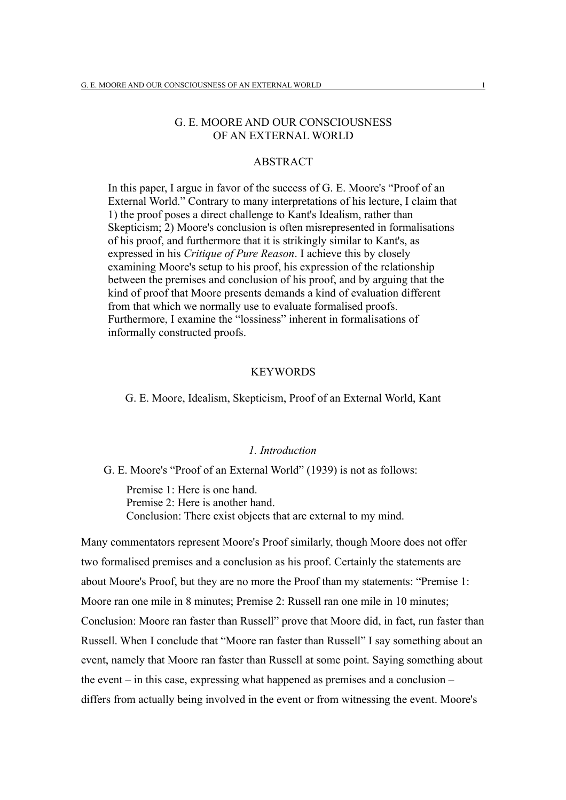# G. E. MOORE AND OUR CONSCIOUSNESS OF AN EXTERNAL WORLD

# ABSTRACT

In this paper, I argue in favor of the success of G. E. Moore's "Proof of an External World." Contrary to many interpretations of his lecture, I claim that 1) the proof poses a direct challenge to Kant's Idealism, rather than Skepticism; 2) Moore's conclusion is often misrepresented in formalisations of his proof, and furthermore that it is strikingly similar to Kant's, as expressed in his *Critique of Pure Reason*. I achieve this by closely examining Moore's setup to his proof, his expression of the relationship between the premises and conclusion of his proof, and by arguing that the kind of proof that Moore presents demands a kind of evaluation different from that which we normally use to evaluate formalised proofs. Furthermore, I examine the "lossiness" inherent in formalisations of informally constructed proofs.

#### **KEYWORDS**

G. E. Moore, Idealism, Skepticism, Proof of an External World, Kant

#### *1. Introduction*

G. E. Moore's "Proof of an External World" (1939) is not as follows:

Premise 1: Here is one hand. Premise 2: Here is another hand. Conclusion: There exist objects that are external to my mind.

Many commentators represent Moore's Proof similarly, though Moore does not offer two formalised premises and a conclusion as his proof. Certainly the statements are about Moore's Proof, but they are no more the Proof than my statements: "Premise 1: Moore ran one mile in 8 minutes; Premise 2: Russell ran one mile in 10 minutes; Conclusion: Moore ran faster than Russell" prove that Moore did, in fact, run faster than Russell. When I conclude that "Moore ran faster than Russell" I say something about an event, namely that Moore ran faster than Russell at some point. Saying something about the event – in this case, expressing what happened as premises and a conclusion – differs from actually being involved in the event or from witnessing the event. Moore's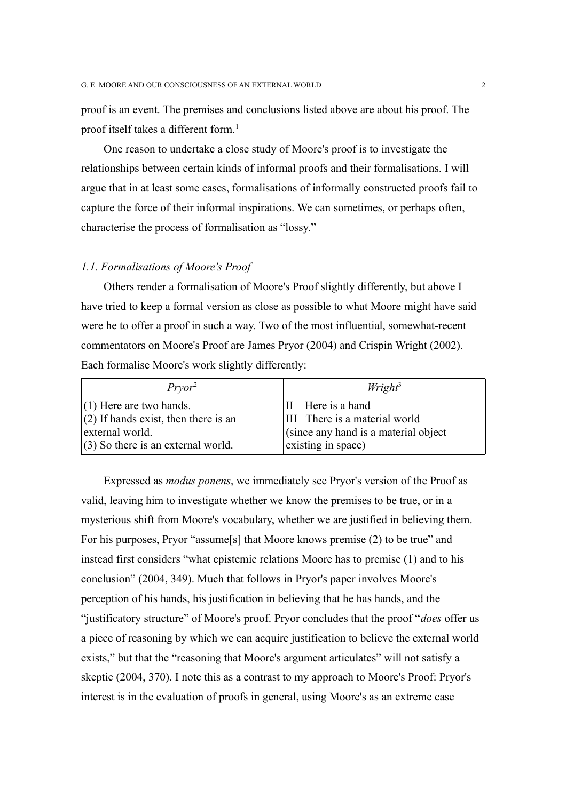proof is an event. The premises and conclusions listed above are about his proof. The proof itself takes a different form.<sup>[1](#page-16-0)</sup>

One reason to undertake a close study of Moore's proof is to investigate the relationships between certain kinds of informal proofs and their formalisations. I will argue that in at least some cases, formalisations of informally constructed proofs fail to capture the force of their informal inspirations. We can sometimes, or perhaps often, characterise the process of formalisation as "lossy."

### *1.1. Formalisations of Moore's Proof*

Others render a formalisation of Moore's Proof slightly differently, but above I have tried to keep a formal version as close as possible to what Moore might have said were he to offer a proof in such a way. Two of the most influential, somewhat-recent commentators on Moore's Proof are James Pryor (2004) and Crispin Wright (2002). Each formalise Moore's work slightly differently:

| $Pryor^2$                              | $W$ right <sup>3</sup>                |
|----------------------------------------|---------------------------------------|
| $(1)$ Here are two hands.              | II Here is a hand                     |
| $(2)$ If hands exist, then there is an | III There is a material world         |
| external world.                        | (since any hand is a material object) |
| $(3)$ So there is an external world.   | existing in space)                    |

Expressed as *modus ponens*, we immediately see Pryor's version of the Proof as valid, leaving him to investigate whether we know the premises to be true, or in a mysterious shift from Moore's vocabulary, whether we are justified in believing them. For his purposes, Pryor "assume[s] that Moore knows premise (2) to be true" and instead first considers "what epistemic relations Moore has to premise (1) and to his conclusion" (2004, 349). Much that follows in Pryor's paper involves Moore's perception of his hands, his justification in believing that he has hands, and the "justificatory structure" of Moore's proof. Pryor concludes that the proof "*does* offer us a piece of reasoning by which we can acquire justification to believe the external world exists," but that the "reasoning that Moore's argument articulates" will not satisfy a skeptic (2004, 370). I note this as a contrast to my approach to Moore's Proof: Pryor's interest is in the evaluation of proofs in general, using Moore's as an extreme case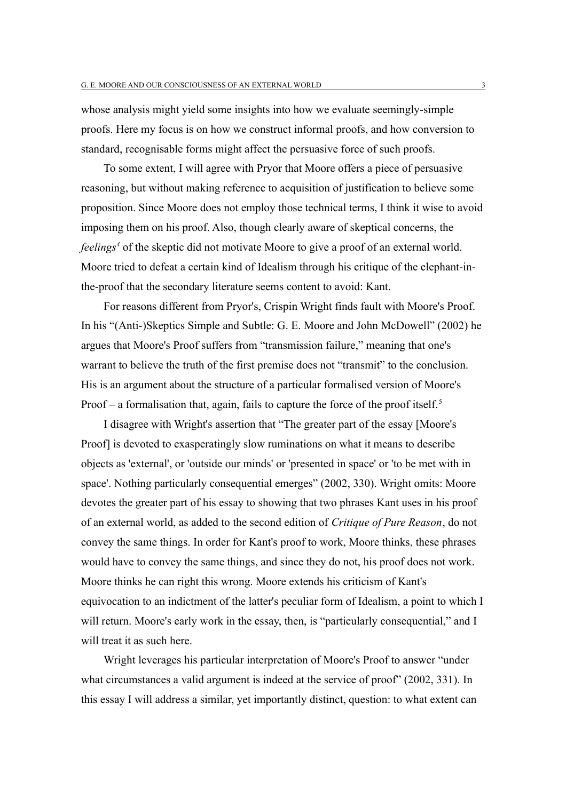whose analysis might yield some insights into how we evaluate seemingly-simple proofs. Here my focus is on how we construct informal proofs, and how conversion to standard, recognisable forms might affect the persuasive force of such proofs.

To some extent, I will agree with Pryor that Moore offers a piece of persuasive reasoning, but without making reference to acquisition of justification to believe some proposition. Since Moore does not employ those technical terms, I think it wise to avoid imposing them on his proof. Also, though clearly aware of skeptical concerns, the *feelings[4](#page-16-3)* of the skeptic did not motivate Moore to give a proof of an external world. Moore tried to defeat a certain kind of Idealism through his critique of the elephant-inthe-proof that the secondary literature seems content to avoid: Kant.

For reasons different from Pryor's, Crispin Wright finds fault with Moore's Proof. In his "(Anti-)Skeptics Simple and Subtle: G. E. Moore and John McDowell" (2002) he argues that Moore's Proof suffers from "transmission failure," meaning that one's warrant to believe the truth of the first premise does not "transmit" to the conclusion. His is an argument about the structure of a particular formalised version of Moore's Proof – a formalisation that, again, fails to capture the force of the proof itself.<sup>[5](#page-16-4)</sup>

I disagree with Wright's assertion that "The greater part of the essay [Moore's Proof] is devoted to exasperatingly slow ruminations on what it means to describe objects as 'external', or 'outside our minds' or 'presented in space' or 'to be met with in space'. Nothing particularly consequential emerges" (2002, 330). Wright omits: Moore devotes the greater part of his essay to showing that two phrases Kant uses in his proof of an external world, as added to the second edition of *Critique of Pure Reason*, do not convey the same things. In order for Kant's proof to work, Moore thinks, these phrases would have to convey the same things, and since they do not, his proof does not work. Moore thinks he can right this wrong. Moore extends his criticism of Kant's equivocation to an indictment of the latter's peculiar form of Idealism, a point to which I will return. Moore's early work in the essay, then, is "particularly consequential," and I will treat it as such here.

Wright leverages his particular interpretation of Moore's Proof to answer "under what circumstances a valid argument is indeed at the service of proof" (2002, 331). In this essay I will address a similar, yet importantly distinct, question: to what extent can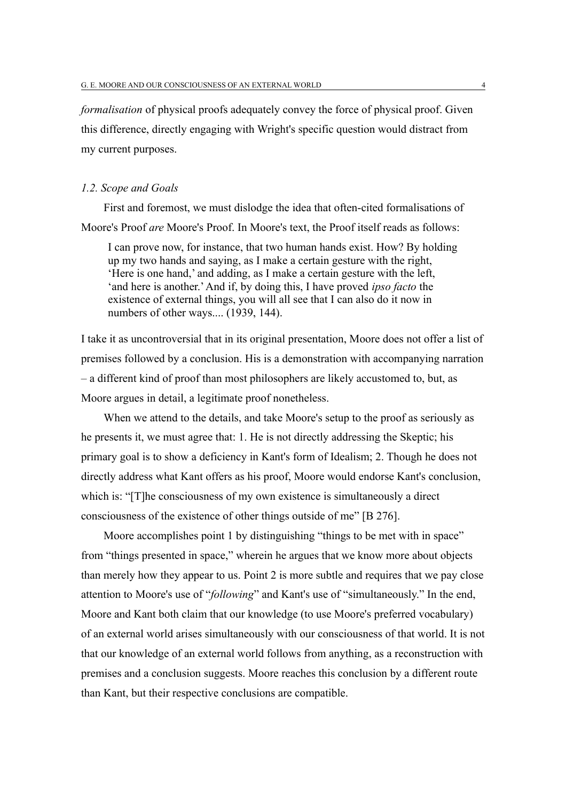*formalisation* of physical proofs adequately convey the force of physical proof. Given this difference, directly engaging with Wright's specific question would distract from my current purposes.

#### *1.2. Scope and Goals*

First and foremost, we must dislodge the idea that often-cited formalisations of Moore's Proof *are* Moore's Proof. In Moore's text, the Proof itself reads as follows:

I can prove now, for instance, that two human hands exist. How? By holding up my two hands and saying, as I make a certain gesture with the right, 'Here is one hand,' and adding, as I make a certain gesture with the left, 'and here is another.' And if, by doing this, I have proved *ipso facto* the existence of external things, you will all see that I can also do it now in numbers of other ways.... (1939, 144).

I take it as uncontroversial that in its original presentation, Moore does not offer a list of premises followed by a conclusion. His is a demonstration with accompanying narration – a different kind of proof than most philosophers are likely accustomed to, but, as Moore argues in detail, a legitimate proof nonetheless.

When we attend to the details, and take Moore's setup to the proof as seriously as he presents it, we must agree that: 1. He is not directly addressing the Skeptic; his primary goal is to show a deficiency in Kant's form of Idealism; 2. Though he does not directly address what Kant offers as his proof, Moore would endorse Kant's conclusion, which is: "[T]he consciousness of my own existence is simultaneously a direct consciousness of the existence of other things outside of me" [B 276].

Moore accomplishes point 1 by distinguishing "things to be met with in space" from "things presented in space," wherein he argues that we know more about objects than merely how they appear to us. Point 2 is more subtle and requires that we pay close attention to Moore's use of "*following*" and Kant's use of "simultaneously." In the end, Moore and Kant both claim that our knowledge (to use Moore's preferred vocabulary) of an external world arises simultaneously with our consciousness of that world. It is not that our knowledge of an external world follows from anything, as a reconstruction with premises and a conclusion suggests. Moore reaches this conclusion by a different route than Kant, but their respective conclusions are compatible.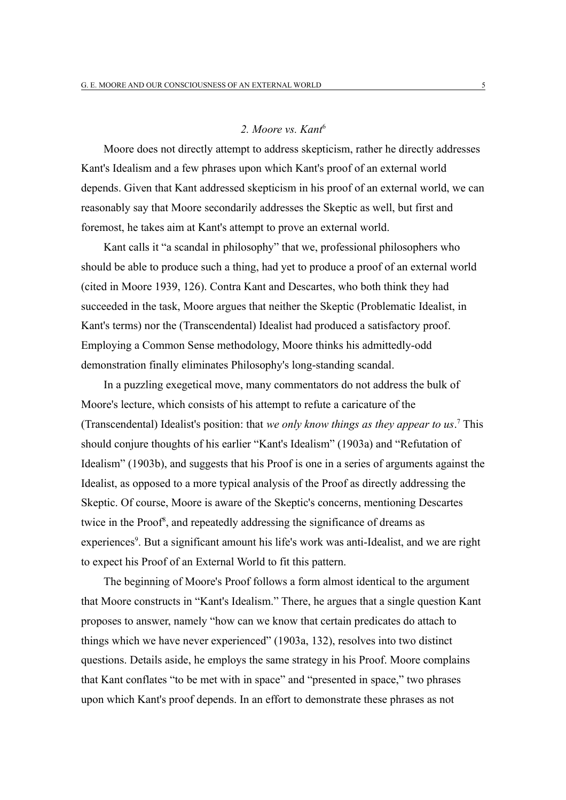### *2. Moore vs. Kant*[6](#page-17-0)

Moore does not directly attempt to address skepticism, rather he directly addresses Kant's Idealism and a few phrases upon which Kant's proof of an external world depends. Given that Kant addressed skepticism in his proof of an external world, we can reasonably say that Moore secondarily addresses the Skeptic as well, but first and foremost, he takes aim at Kant's attempt to prove an external world.

Kant calls it "a scandal in philosophy" that we, professional philosophers who should be able to produce such a thing, had yet to produce a proof of an external world (cited in Moore 1939, 126). Contra Kant and Descartes, who both think they had succeeded in the task, Moore argues that neither the Skeptic (Problematic Idealist, in Kant's terms) nor the (Transcendental) Idealist had produced a satisfactory proof. Employing a Common Sense methodology, Moore thinks his admittedly-odd demonstration finally eliminates Philosophy's long-standing scandal.

In a puzzling exegetical move, many commentators do not address the bulk of Moore's lecture, which consists of his attempt to refute a caricature of the (Transcendental) Idealist's position: that *we only know things as they appear to us*. [7](#page-17-1) This should conjure thoughts of his earlier "Kant's Idealism" (1903a) and "Refutation of Idealism" (1903b), and suggests that his Proof is one in a series of arguments against the Idealist, as opposed to a more typical analysis of the Proof as directly addressing the Skeptic. Of course, Moore is aware of the Skeptic's concerns, mentioning Descartes twice in the Proof<sup>[8](#page-17-2)</sup>, and repeatedly addressing the significance of dreams as experiences<sup>[9](#page-17-3)</sup>. But a significant amount his life's work was anti-Idealist, and we are right to expect his Proof of an External World to fit this pattern.

The beginning of Moore's Proof follows a form almost identical to the argument that Moore constructs in "Kant's Idealism." There, he argues that a single question Kant proposes to answer, namely "how can we know that certain predicates do attach to things which we have never experienced" (1903a, 132), resolves into two distinct questions. Details aside, he employs the same strategy in his Proof. Moore complains that Kant conflates "to be met with in space" and "presented in space," two phrases upon which Kant's proof depends. In an effort to demonstrate these phrases as not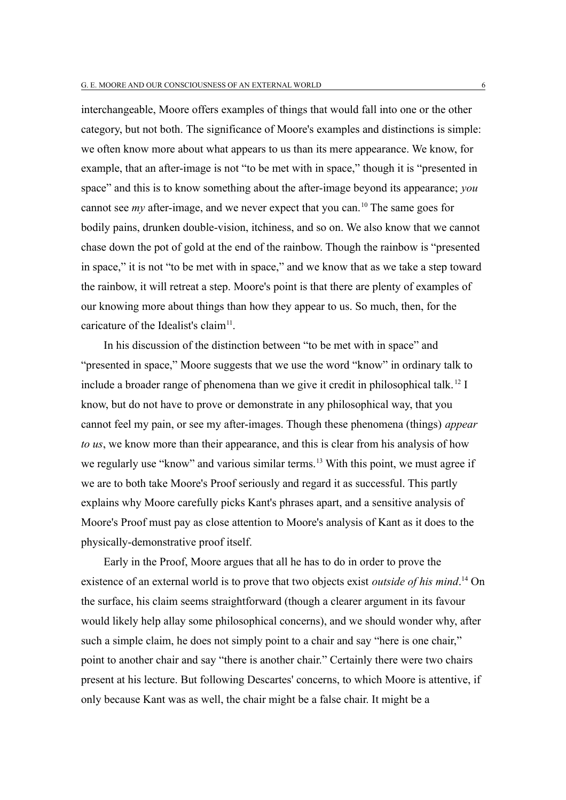interchangeable, Moore offers examples of things that would fall into one or the other category, but not both. The significance of Moore's examples and distinctions is simple: we often know more about what appears to us than its mere appearance. We know, for example, that an after-image is not "to be met with in space," though it is "presented in space" and this is to know something about the after-image beyond its appearance; *you* cannot see *my* after-image, and we never expect that you can.<sup>[10](#page-17-4)</sup> The same goes for bodily pains, drunken double-vision, itchiness, and so on. We also know that we cannot chase down the pot of gold at the end of the rainbow. Though the rainbow is "presented in space," it is not "to be met with in space," and we know that as we take a step toward the rainbow, it will retreat a step. Moore's point is that there are plenty of examples of our knowing more about things than how they appear to us. So much, then, for the caricature of the Idealist's claim<sup>[11](#page-18-0)</sup>.

In his discussion of the distinction between "to be met with in space" and "presented in space," Moore suggests that we use the word "know" in ordinary talk to include a broader range of phenomena than we give it credit in philosophical talk.<sup>[12](#page-18-1)</sup> I know, but do not have to prove or demonstrate in any philosophical way, that you cannot feel my pain, or see my after-images. Though these phenomena (things) *appear to us*, we know more than their appearance, and this is clear from his analysis of how we regularly use "know" and various similar terms.<sup>[13](#page-18-2)</sup> With this point, we must agree if we are to both take Moore's Proof seriously and regard it as successful. This partly explains why Moore carefully picks Kant's phrases apart, and a sensitive analysis of Moore's Proof must pay as close attention to Moore's analysis of Kant as it does to the physically-demonstrative proof itself.

Early in the Proof, Moore argues that all he has to do in order to prove the existence of an external world is to prove that two objects exist *outside of his mind*.<sup>[14](#page-18-3)</sup> On the surface, his claim seems straightforward (though a clearer argument in its favour would likely help allay some philosophical concerns), and we should wonder why, after such a simple claim, he does not simply point to a chair and say "here is one chair," point to another chair and say "there is another chair." Certainly there were two chairs present at his lecture. But following Descartes' concerns, to which Moore is attentive, if only because Kant was as well, the chair might be a false chair. It might be a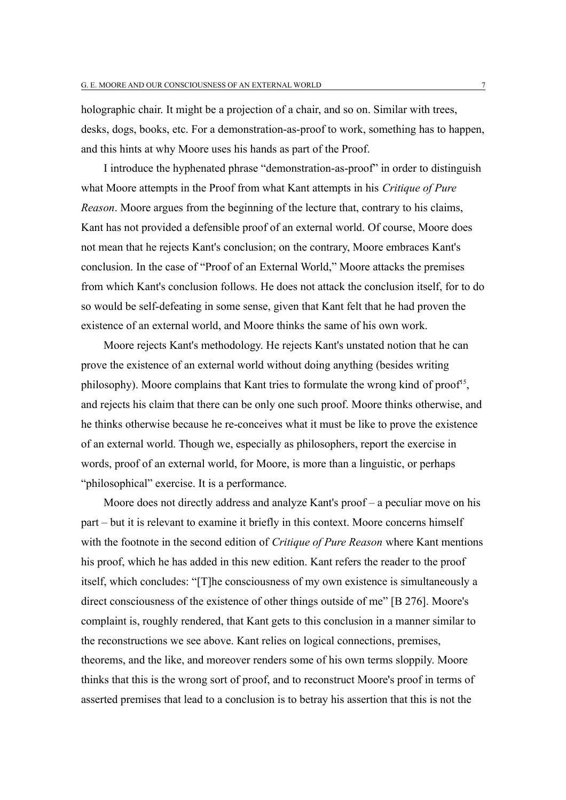holographic chair. It might be a projection of a chair, and so on. Similar with trees, desks, dogs, books, etc. For a demonstration-as-proof to work, something has to happen, and this hints at why Moore uses his hands as part of the Proof.

I introduce the hyphenated phrase "demonstration-as-proof" in order to distinguish what Moore attempts in the Proof from what Kant attempts in his *Critique of Pure Reason*. Moore argues from the beginning of the lecture that, contrary to his claims, Kant has not provided a defensible proof of an external world. Of course, Moore does not mean that he rejects Kant's conclusion; on the contrary, Moore embraces Kant's conclusion. In the case of "Proof of an External World," Moore attacks the premises from which Kant's conclusion follows. He does not attack the conclusion itself, for to do so would be self-defeating in some sense, given that Kant felt that he had proven the existence of an external world, and Moore thinks the same of his own work.

Moore rejects Kant's methodology. He rejects Kant's unstated notion that he can prove the existence of an external world without doing anything (besides writing philosophy). Moore complains that Kant tries to formulate the wrong kind of proof<sup>[15](#page-18-4)</sup>, and rejects his claim that there can be only one such proof. Moore thinks otherwise, and he thinks otherwise because he re-conceives what it must be like to prove the existence of an external world. Though we, especially as philosophers, report the exercise in words, proof of an external world, for Moore, is more than a linguistic, or perhaps "philosophical" exercise. It is a performance.

Moore does not directly address and analyze Kant's proof – a peculiar move on his part – but it is relevant to examine it briefly in this context. Moore concerns himself with the footnote in the second edition of *Critique of Pure Reason* where Kant mentions his proof, which he has added in this new edition. Kant refers the reader to the proof itself, which concludes: "[T]he consciousness of my own existence is simultaneously a direct consciousness of the existence of other things outside of me" [B 276]. Moore's complaint is, roughly rendered, that Kant gets to this conclusion in a manner similar to the reconstructions we see above. Kant relies on logical connections, premises, theorems, and the like, and moreover renders some of his own terms sloppily. Moore thinks that this is the wrong sort of proof, and to reconstruct Moore's proof in terms of asserted premises that lead to a conclusion is to betray his assertion that this is not the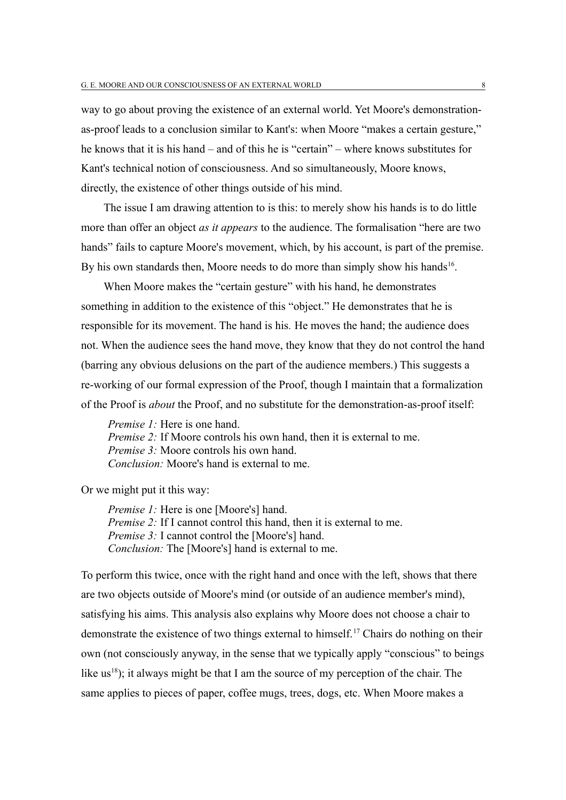way to go about proving the existence of an external world. Yet Moore's demonstrationas-proof leads to a conclusion similar to Kant's: when Moore "makes a certain gesture," he knows that it is his hand – and of this he is "certain" – where knows substitutes for Kant's technical notion of consciousness. And so simultaneously, Moore knows, directly, the existence of other things outside of his mind.

The issue I am drawing attention to is this: to merely show his hands is to do little more than offer an object *as it appears* to the audience. The formalisation "here are two hands" fails to capture Moore's movement, which, by his account, is part of the premise. By his own standards then, Moore needs to do more than simply show his hands<sup>[16](#page-18-5)</sup>.

When Moore makes the "certain gesture" with his hand, he demonstrates something in addition to the existence of this "object." He demonstrates that he is responsible for its movement. The hand is his*.* He moves the hand; the audience does not. When the audience sees the hand move, they know that they do not control the hand (barring any obvious delusions on the part of the audience members.) This suggests a re-working of our formal expression of the Proof, though I maintain that a formalization of the Proof is *about* the Proof, and no substitute for the demonstration-as-proof itself:

*Premise 1:* Here is one hand. *Premise 2:* If Moore controls his own hand, then it is external to me. *Premise 3:* Moore controls his own hand. *Conclusion:* Moore's hand is external to me.

Or we might put it this way:

*Premise 1:* Here is one [Moore's] hand. *Premise 2:* If I cannot control this hand, then it is external to me. *Premise 3:* I cannot control the [Moore's] hand. *Conclusion:* The [Moore's] hand is external to me.

To perform this twice, once with the right hand and once with the left, shows that there are two objects outside of Moore's mind (or outside of an audience member's mind), satisfying his aims. This analysis also explains why Moore does not choose a chair to demonstrate the existence of two things external to himself.[17](#page-19-0) Chairs do nothing on their own (not consciously anyway, in the sense that we typically apply "conscious" to beings like us<sup>[18](#page-19-1)</sup>); it always might be that I am the source of my perception of the chair. The same applies to pieces of paper, coffee mugs, trees, dogs, etc. When Moore makes a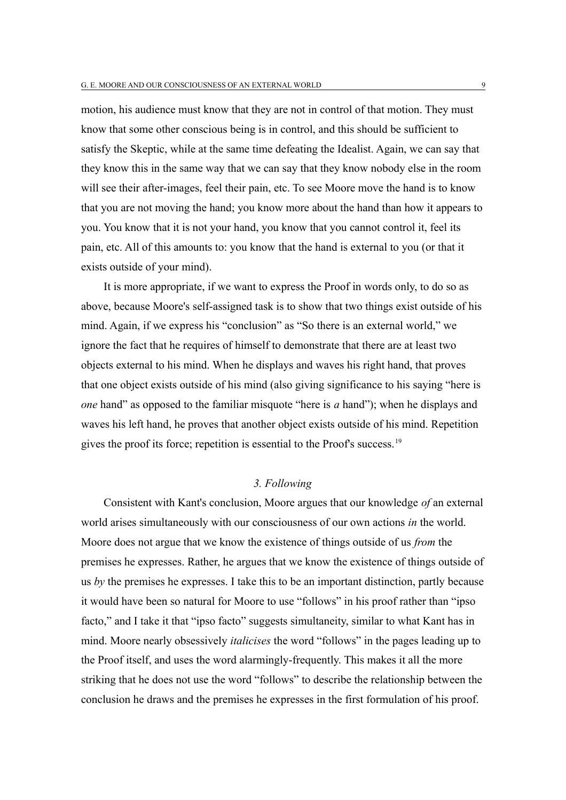motion, his audience must know that they are not in control of that motion. They must know that some other conscious being is in control, and this should be sufficient to satisfy the Skeptic, while at the same time defeating the Idealist. Again, we can say that they know this in the same way that we can say that they know nobody else in the room will see their after-images, feel their pain, etc. To see Moore move the hand is to know that you are not moving the hand; you know more about the hand than how it appears to you. You know that it is not your hand, you know that you cannot control it, feel its pain, etc. All of this amounts to: you know that the hand is external to you (or that it exists outside of your mind).

It is more appropriate, if we want to express the Proof in words only, to do so as above, because Moore's self-assigned task is to show that two things exist outside of his mind. Again, if we express his "conclusion" as "So there is an external world," we ignore the fact that he requires of himself to demonstrate that there are at least two objects external to his mind. When he displays and waves his right hand, that proves that one object exists outside of his mind (also giving significance to his saying "here is *one* hand" as opposed to the familiar misquote "here is *a* hand"); when he displays and waves his left hand, he proves that another object exists outside of his mind. Repetition gives the proof its force; repetition is essential to the Proof's success.<sup>[19](#page-19-2)</sup>

## *3. Following*

Consistent with Kant's conclusion, Moore argues that our knowledge *of* an external world arises simultaneously with our consciousness of our own actions *in* the world. Moore does not argue that we know the existence of things outside of us *from* the premises he expresses. Rather, he argues that we know the existence of things outside of us *by* the premises he expresses. I take this to be an important distinction, partly because it would have been so natural for Moore to use "follows" in his proof rather than "ipso facto," and I take it that "ipso facto" suggests simultaneity, similar to what Kant has in mind. Moore nearly obsessively *italicises* the word "follows" in the pages leading up to the Proof itself, and uses the word alarmingly-frequently. This makes it all the more striking that he does not use the word "follows" to describe the relationship between the conclusion he draws and the premises he expresses in the first formulation of his proof.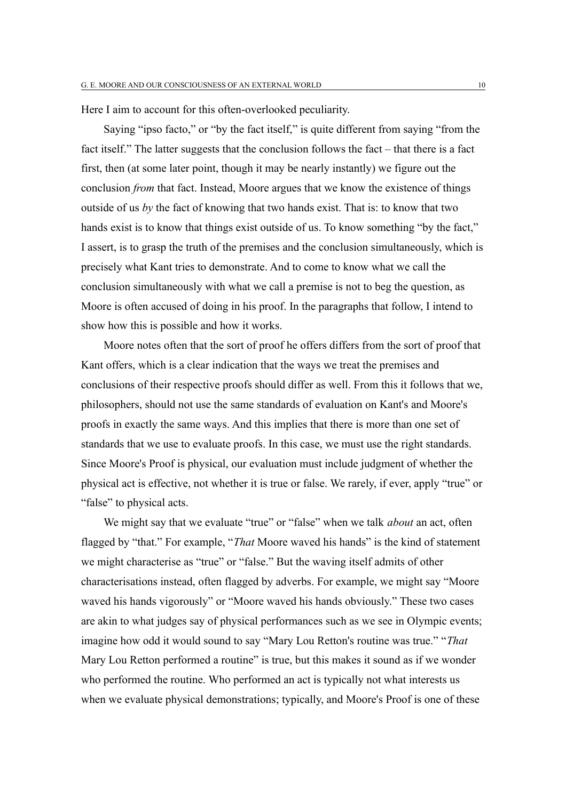Here I aim to account for this often-overlooked peculiarity.

Saying "ipso facto," or "by the fact itself," is quite different from saying "from the fact itself." The latter suggests that the conclusion follows the fact – that there is a fact first, then (at some later point, though it may be nearly instantly) we figure out the conclusion *from* that fact. Instead, Moore argues that we know the existence of things outside of us *by* the fact of knowing that two hands exist. That is: to know that two hands exist is to know that things exist outside of us. To know something "by the fact," I assert, is to grasp the truth of the premises and the conclusion simultaneously, which is precisely what Kant tries to demonstrate. And to come to know what we call the conclusion simultaneously with what we call a premise is not to beg the question, as Moore is often accused of doing in his proof. In the paragraphs that follow, I intend to show how this is possible and how it works.

Moore notes often that the sort of proof he offers differs from the sort of proof that Kant offers, which is a clear indication that the ways we treat the premises and conclusions of their respective proofs should differ as well. From this it follows that we, philosophers, should not use the same standards of evaluation on Kant's and Moore's proofs in exactly the same ways. And this implies that there is more than one set of standards that we use to evaluate proofs. In this case, we must use the right standards. Since Moore's Proof is physical, our evaluation must include judgment of whether the physical act is effective, not whether it is true or false. We rarely, if ever, apply "true" or "false" to physical acts.

We might say that we evaluate "true" or "false" when we talk *about* an act, often flagged by "that." For example, "*That* Moore waved his hands" is the kind of statement we might characterise as "true" or "false." But the waving itself admits of other characterisations instead, often flagged by adverbs. For example, we might say "Moore waved his hands vigorously" or "Moore waved his hands obviously." These two cases are akin to what judges say of physical performances such as we see in Olympic events; imagine how odd it would sound to say "Mary Lou Retton's routine was true." "*That* Mary Lou Retton performed a routine" is true, but this makes it sound as if we wonder who performed the routine. Who performed an act is typically not what interests us when we evaluate physical demonstrations; typically, and Moore's Proof is one of these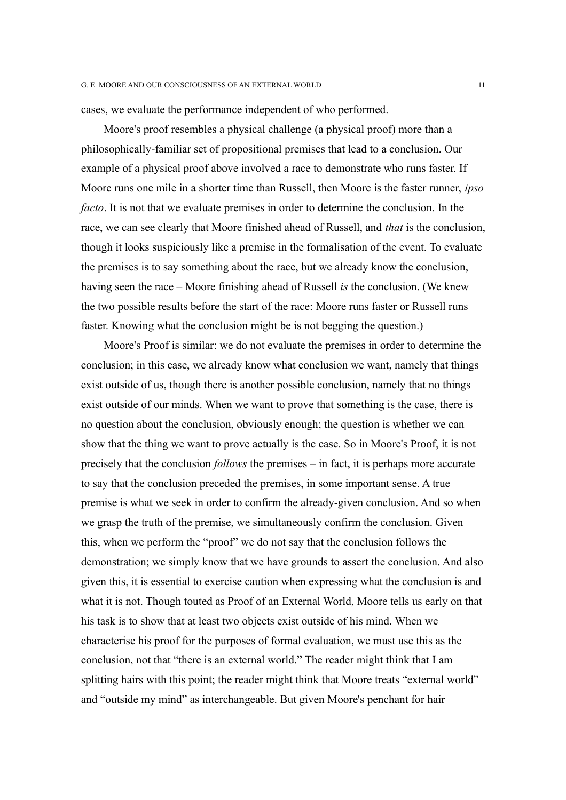cases, we evaluate the performance independent of who performed.

Moore's proof resembles a physical challenge (a physical proof) more than a philosophically-familiar set of propositional premises that lead to a conclusion. Our example of a physical proof above involved a race to demonstrate who runs faster. If Moore runs one mile in a shorter time than Russell, then Moore is the faster runner, *ipso facto*. It is not that we evaluate premises in order to determine the conclusion. In the race, we can see clearly that Moore finished ahead of Russell, and *that* is the conclusion, though it looks suspiciously like a premise in the formalisation of the event. To evaluate the premises is to say something about the race, but we already know the conclusion, having seen the race – Moore finishing ahead of Russell *is* the conclusion. (We knew the two possible results before the start of the race: Moore runs faster or Russell runs faster. Knowing what the conclusion might be is not begging the question.)

Moore's Proof is similar: we do not evaluate the premises in order to determine the conclusion; in this case, we already know what conclusion we want, namely that things exist outside of us, though there is another possible conclusion, namely that no things exist outside of our minds. When we want to prove that something is the case, there is no question about the conclusion, obviously enough; the question is whether we can show that the thing we want to prove actually is the case. So in Moore's Proof, it is not precisely that the conclusion *follows* the premises – in fact, it is perhaps more accurate to say that the conclusion preceded the premises, in some important sense. A true premise is what we seek in order to confirm the already-given conclusion. And so when we grasp the truth of the premise, we simultaneously confirm the conclusion. Given this, when we perform the "proof" we do not say that the conclusion follows the demonstration; we simply know that we have grounds to assert the conclusion. And also given this, it is essential to exercise caution when expressing what the conclusion is and what it is not. Though touted as Proof of an External World, Moore tells us early on that his task is to show that at least two objects exist outside of his mind. When we characterise his proof for the purposes of formal evaluation, we must use this as the conclusion, not that "there is an external world." The reader might think that I am splitting hairs with this point; the reader might think that Moore treats "external world" and "outside my mind" as interchangeable. But given Moore's penchant for hair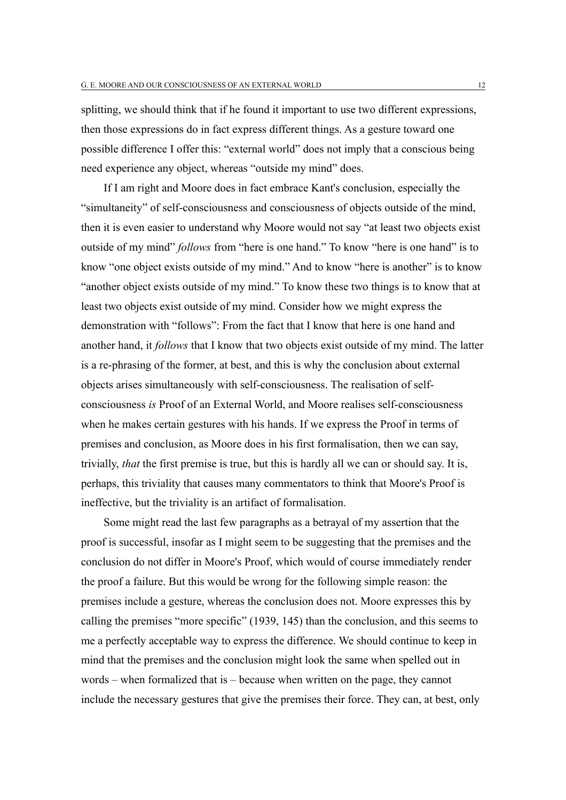splitting, we should think that if he found it important to use two different expressions, then those expressions do in fact express different things. As a gesture toward one possible difference I offer this: "external world" does not imply that a conscious being need experience any object, whereas "outside my mind" does.

If I am right and Moore does in fact embrace Kant's conclusion, especially the "simultaneity" of self-consciousness and consciousness of objects outside of the mind, then it is even easier to understand why Moore would not say "at least two objects exist outside of my mind" *follows* from "here is one hand." To know "here is one hand" is to know "one object exists outside of my mind." And to know "here is another" is to know "another object exists outside of my mind." To know these two things is to know that at least two objects exist outside of my mind. Consider how we might express the demonstration with "follows": From the fact that I know that here is one hand and another hand, it *follows* that I know that two objects exist outside of my mind. The latter is a re-phrasing of the former, at best, and this is why the conclusion about external objects arises simultaneously with self-consciousness. The realisation of selfconsciousness *is* Proof of an External World, and Moore realises self-consciousness when he makes certain gestures with his hands. If we express the Proof in terms of premises and conclusion, as Moore does in his first formalisation, then we can say, trivially, *that* the first premise is true, but this is hardly all we can or should say. It is, perhaps, this triviality that causes many commentators to think that Moore's Proof is ineffective, but the triviality is an artifact of formalisation.

Some might read the last few paragraphs as a betrayal of my assertion that the proof is successful, insofar as I might seem to be suggesting that the premises and the conclusion do not differ in Moore's Proof, which would of course immediately render the proof a failure. But this would be wrong for the following simple reason: the premises include a gesture, whereas the conclusion does not. Moore expresses this by calling the premises "more specific" (1939, 145) than the conclusion, and this seems to me a perfectly acceptable way to express the difference. We should continue to keep in mind that the premises and the conclusion might look the same when spelled out in words – when formalized that is – because when written on the page, they cannot include the necessary gestures that give the premises their force. They can, at best, only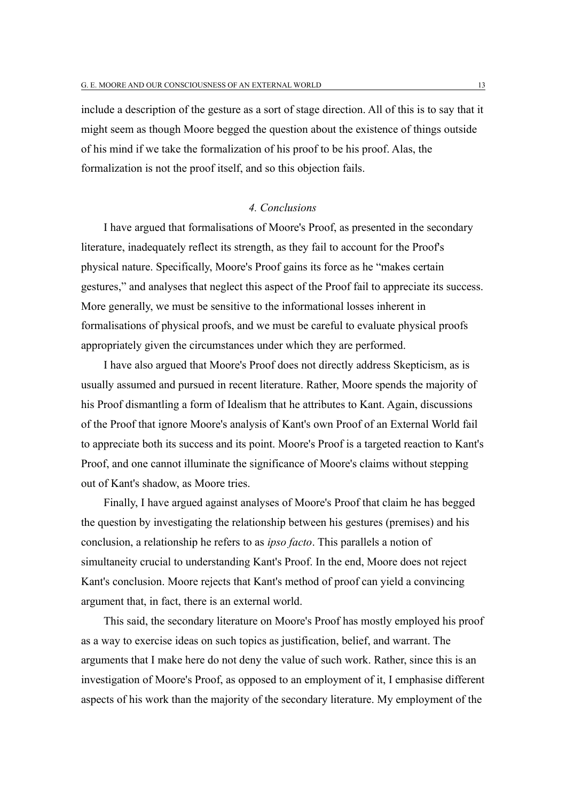include a description of the gesture as a sort of stage direction. All of this is to say that it might seem as though Moore begged the question about the existence of things outside of his mind if we take the formalization of his proof to be his proof. Alas, the formalization is not the proof itself, and so this objection fails.

## *4. Conclusions*

I have argued that formalisations of Moore's Proof, as presented in the secondary literature, inadequately reflect its strength, as they fail to account for the Proof's physical nature. Specifically, Moore's Proof gains its force as he "makes certain gestures," and analyses that neglect this aspect of the Proof fail to appreciate its success. More generally, we must be sensitive to the informational losses inherent in formalisations of physical proofs, and we must be careful to evaluate physical proofs appropriately given the circumstances under which they are performed.

I have also argued that Moore's Proof does not directly address Skepticism, as is usually assumed and pursued in recent literature. Rather, Moore spends the majority of his Proof dismantling a form of Idealism that he attributes to Kant. Again, discussions of the Proof that ignore Moore's analysis of Kant's own Proof of an External World fail to appreciate both its success and its point. Moore's Proof is a targeted reaction to Kant's Proof, and one cannot illuminate the significance of Moore's claims without stepping out of Kant's shadow, as Moore tries.

Finally, I have argued against analyses of Moore's Proof that claim he has begged the question by investigating the relationship between his gestures (premises) and his conclusion, a relationship he refers to as *ipso facto*. This parallels a notion of simultaneity crucial to understanding Kant's Proof. In the end, Moore does not reject Kant's conclusion. Moore rejects that Kant's method of proof can yield a convincing argument that, in fact, there is an external world.

This said, the secondary literature on Moore's Proof has mostly employed his proof as a way to exercise ideas on such topics as justification, belief, and warrant. The arguments that I make here do not deny the value of such work. Rather, since this is an investigation of Moore's Proof, as opposed to an employment of it, I emphasise different aspects of his work than the majority of the secondary literature. My employment of the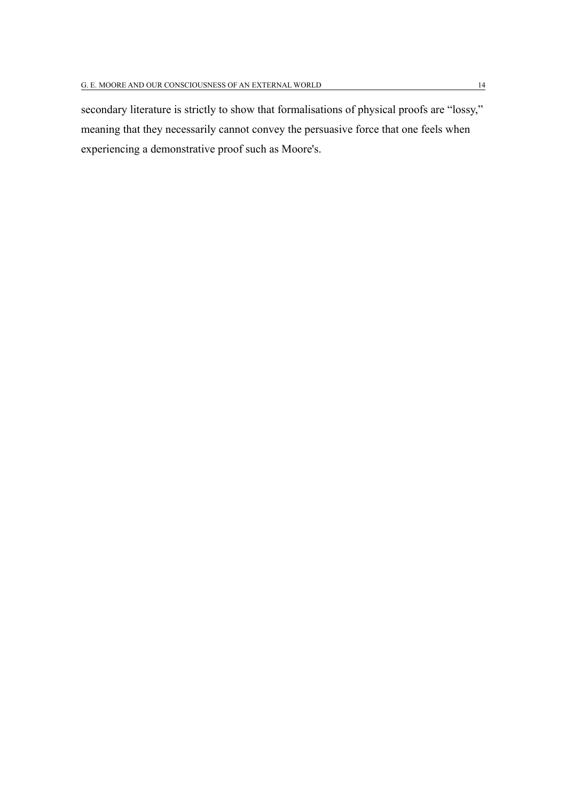secondary literature is strictly to show that formalisations of physical proofs are "lossy," meaning that they necessarily cannot convey the persuasive force that one feels when experiencing a demonstrative proof such as Moore's.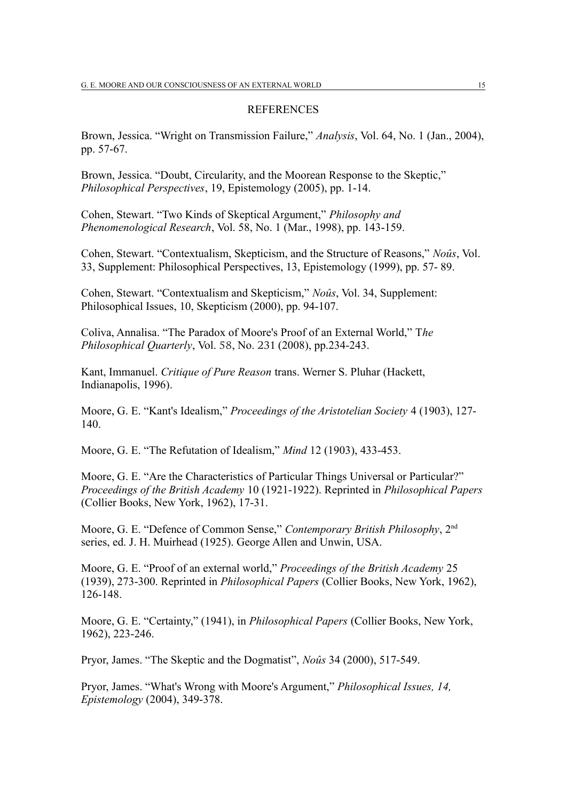#### **REFERENCES**

Brown, Jessica. "Wright on Transmission Failure," *Analysis*, Vol. 64, No. 1 (Jan., 2004), pp. 57-67.

Brown, Jessica. "Doubt, Circularity, and the Moorean Response to the Skeptic," *Philosophical Perspectives*, 19, Epistemology (2005), pp. 1-14.

Cohen, Stewart. "Two Kinds of Skeptical Argument," *Philosophy and Phenomenological Research*, Vol. 58, No. 1 (Mar., 1998), pp. 143-159.

Cohen, Stewart. "Contextualism, Skepticism, and the Structure of Reasons," *Noûs*, Vol. 33, Supplement: Philosophical Perspectives, 13, Epistemology (1999), pp. 57- 89.

Cohen, Stewart. "Contextualism and Skepticism," *Noûs*, Vol. 34, Supplement: Philosophical Issues, 10, Skepticism (2000), pp. 94-107.

Coliva, Annalisa. "The Paradox of Moore's Proof of an External World," T*he Philosophical Quarterly, Vol. 58, No. 231 (2008), pp.234-243.* 

Kant, Immanuel. *Critique of Pure Reason* trans. Werner S. Pluhar (Hackett, Indianapolis, 1996).

Moore, G. E. "Kant's Idealism," *Proceedings of the Aristotelian Society* 4 (1903), 127- 140.

Moore, G. E. "The Refutation of Idealism," *Mind* 12 (1903), 433-453.

Moore, G. E. "Are the Characteristics of Particular Things Universal or Particular?" *Proceedings of the British Academy* 10 (1921-1922). Reprinted in *Philosophical Papers* (Collier Books, New York, 1962), 17-31.

Moore, G. E. "Defence of Common Sense," *Contemporary British Philosophy*, 2nd series, ed. J. H. Muirhead (1925). George Allen and Unwin, USA.

Moore, G. E. "Proof of an external world," *Proceedings of the British Academy* 25 (1939), 273-300. Reprinted in *Philosophical Papers* (Collier Books, New York, 1962), 126-148.

Moore, G. E. "Certainty," (1941), in *Philosophical Papers* (Collier Books, New York, 1962), 223-246.

Pryor, James. "The Skeptic and the Dogmatist", *Noûs* 34 (2000), 517-549.

Pryor, James. "What's Wrong with Moore's Argument," *Philosophical Issues, 14, Epistemology* (2004), 349-378.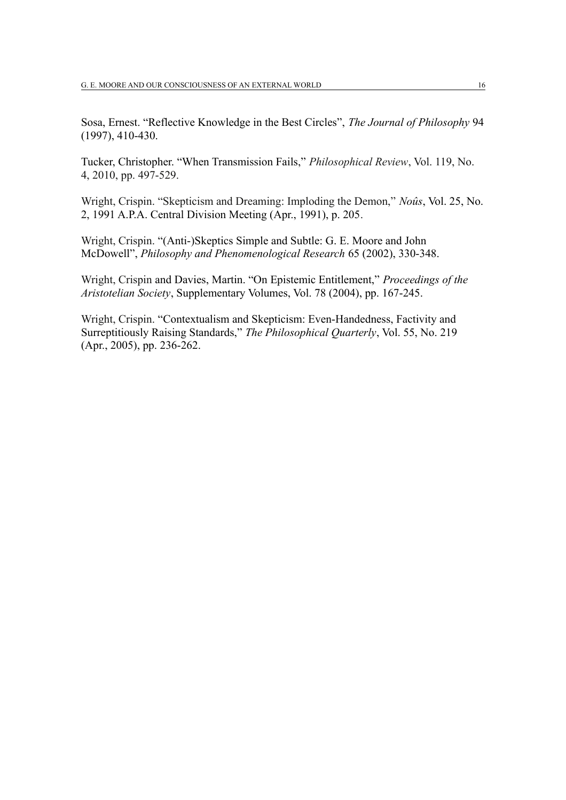Sosa, Ernest. "Reflective Knowledge in the Best Circles", *The Journal of Philosophy* 94 (1997), 410-430.

Tucker, Christopher. "When Transmission Fails," *Philosophical Review*, Vol. 119, No. 4, 2010, pp. 497-529.

Wright, Crispin. "Skepticism and Dreaming: Imploding the Demon," *Noûs*, Vol. 25, No. 2, 1991 A.P.A. Central Division Meeting (Apr., 1991), p. 205.

Wright, Crispin. "(Anti-)Skeptics Simple and Subtle: G. E. Moore and John McDowell", *Philosophy and Phenomenological Research* 65 (2002), 330-348.

Wright, Crispin and Davies, Martin. "On Epistemic Entitlement," *Proceedings of the Aristotelian Society*, Supplementary Volumes, Vol. 78 (2004), pp. 167-245.

Wright, Crispin. "Contextualism and Skepticism: Even-Handedness, Factivity and Surreptitiously Raising Standards," *The Philosophical Quarterly*, Vol. 55, No. 219 (Apr., 2005), pp. 236-262.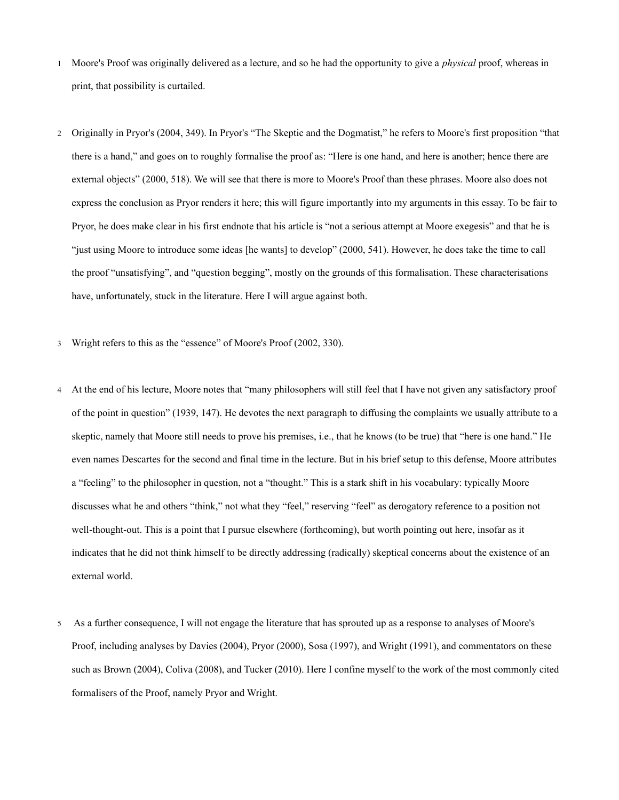- 1 Moore's Proof was originally delivered as a lecture, and so he had the opportunity to give a *physical* proof, whereas in print, that possibility is curtailed.
- <span id="page-16-1"></span><span id="page-16-0"></span>2 Originally in Pryor's (2004, 349). In Pryor's "The Skeptic and the Dogmatist," he refers to Moore's first proposition "that there is a hand," and goes on to roughly formalise the proof as: "Here is one hand, and here is another; hence there are external objects" (2000, 518). We will see that there is more to Moore's Proof than these phrases. Moore also does not express the conclusion as Pryor renders it here; this will figure importantly into my arguments in this essay. To be fair to Pryor, he does make clear in his first endnote that his article is "not a serious attempt at Moore exegesis" and that he is "just using Moore to introduce some ideas [he wants] to develop" (2000, 541). However, he does take the time to call the proof "unsatisfying", and "question begging", mostly on the grounds of this formalisation. These characterisations have, unfortunately, stuck in the literature. Here I will argue against both.
- 3 Wright refers to this as the "essence" of Moore's Proof (2002, 330).
- <span id="page-16-3"></span><span id="page-16-2"></span>4 At the end of his lecture, Moore notes that "many philosophers will still feel that I have not given any satisfactory proof of the point in question" (1939, 147). He devotes the next paragraph to diffusing the complaints we usually attribute to a skeptic, namely that Moore still needs to prove his premises, i.e., that he knows (to be true) that "here is one hand." He even names Descartes for the second and final time in the lecture. But in his brief setup to this defense, Moore attributes a "feeling" to the philosopher in question, not a "thought." This is a stark shift in his vocabulary: typically Moore discusses what he and others "think," not what they "feel," reserving "feel" as derogatory reference to a position not well-thought-out. This is a point that I pursue elsewhere (forthcoming), but worth pointing out here, insofar as it indicates that he did not think himself to be directly addressing (radically) skeptical concerns about the existence of an external world.
- <span id="page-16-4"></span>5 As a further consequence, I will not engage the literature that has sprouted up as a response to analyses of Moore's Proof, including analyses by Davies (2004), Pryor (2000), Sosa (1997), and Wright (1991), and commentators on these such as Brown (2004), Coliva (2008), and Tucker (2010). Here I confine myself to the work of the most commonly cited formalisers of the Proof, namely Pryor and Wright.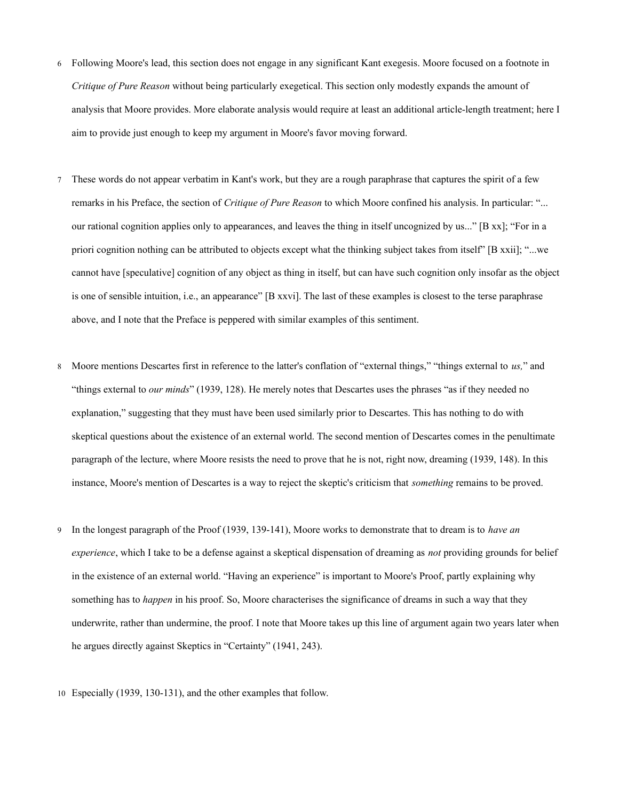- <span id="page-17-0"></span>6 Following Moore's lead, this section does not engage in any significant Kant exegesis. Moore focused on a footnote in *Critique of Pure Reason* without being particularly exegetical. This section only modestly expands the amount of analysis that Moore provides. More elaborate analysis would require at least an additional article-length treatment; here I aim to provide just enough to keep my argument in Moore's favor moving forward.
- <span id="page-17-1"></span>7 These words do not appear verbatim in Kant's work, but they are a rough paraphrase that captures the spirit of a few remarks in his Preface, the section of *Critique of Pure Reason* to which Moore confined his analysis. In particular: "... our rational cognition applies only to appearances, and leaves the thing in itself uncognized by us..." [B xx]; "For in a priori cognition nothing can be attributed to objects except what the thinking subject takes from itself" [B xxii]; "...we cannot have [speculative] cognition of any object as thing in itself, but can have such cognition only insofar as the object is one of sensible intuition, i.e., an appearance" [B xxvi]. The last of these examples is closest to the terse paraphrase above, and I note that the Preface is peppered with similar examples of this sentiment.
- <span id="page-17-2"></span>8 Moore mentions Descartes first in reference to the latter's conflation of "external things," "things external to *us,*" and "things external to *our minds*" (1939, 128). He merely notes that Descartes uses the phrases "as if they needed no explanation," suggesting that they must have been used similarly prior to Descartes. This has nothing to do with skeptical questions about the existence of an external world. The second mention of Descartes comes in the penultimate paragraph of the lecture, where Moore resists the need to prove that he is not, right now, dreaming (1939, 148). In this instance, Moore's mention of Descartes is a way to reject the skeptic's criticism that *something* remains to be proved.
- <span id="page-17-3"></span>9 In the longest paragraph of the Proof (1939, 139-141), Moore works to demonstrate that to dream is to *have an experience*, which I take to be a defense against a skeptical dispensation of dreaming as *not* providing grounds for belief in the existence of an external world. "Having an experience" is important to Moore's Proof, partly explaining why something has to *happen* in his proof. So, Moore characterises the significance of dreams in such a way that they underwrite, rather than undermine, the proof. I note that Moore takes up this line of argument again two years later when he argues directly against Skeptics in "Certainty" (1941, 243).
- <span id="page-17-4"></span>10 Especially (1939, 130-131), and the other examples that follow.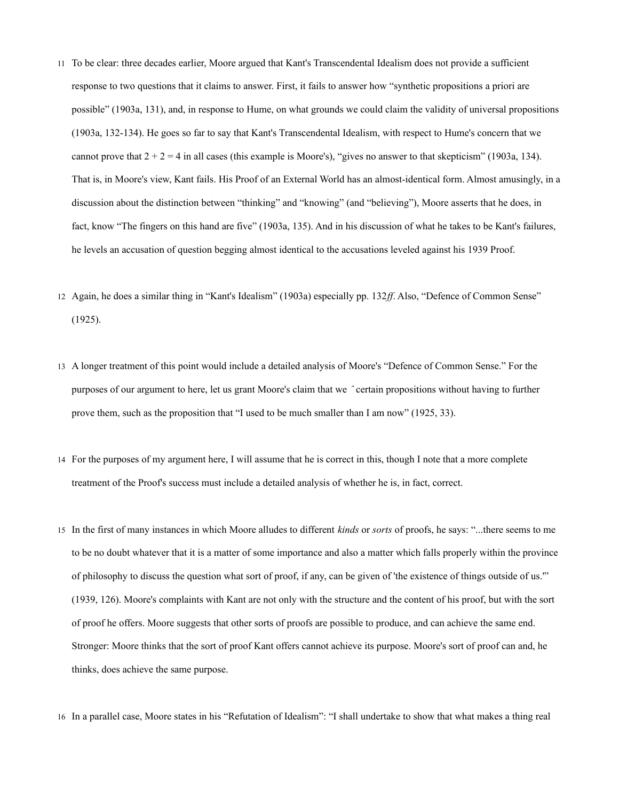- <span id="page-18-0"></span>11 To be clear: three decades earlier, Moore argued that Kant's Transcendental Idealism does not provide a sufficient response to two questions that it claims to answer. First, it fails to answer how "synthetic propositions a priori are possible" (1903a, 131), and, in response to Hume, on what grounds we could claim the validity of universal propositions (1903a, 132-134). He goes so far to say that Kant's Transcendental Idealism, with respect to Hume's concern that we cannot prove that  $2 + 2 = 4$  in all cases (this example is Moore's), "gives no answer to that skepticism" (1903a, 134). That is, in Moore's view, Kant fails. His Proof of an External World has an almost-identical form. Almost amusingly, in a discussion about the distinction between "thinking" and "knowing" (and "believing"), Moore asserts that he does, in fact, know "The fingers on this hand are five" (1903a, 135). And in his discussion of what he takes to be Kant's failures, he levels an accusation of question begging almost identical to the accusations leveled against his 1939 Proof.
- 12 Again, he does a similar thing in "Kant's Idealism" (1903a) especially pp. 132*ff*. Also, "Defence of Common Sense" (1925).
- <span id="page-18-1"></span>13 A longer treatment of this point would include a detailed analysis of Moore's "Defence of Common Sense." For the purposes of our argument to here, let us grant Moore's claim that we *ˆ* certain propositions without having to further prove them, such as the proposition that "I used to be much smaller than I am now" (1925, 33).
- <span id="page-18-2"></span>14 For the purposes of my argument here, I will assume that he is correct in this, though I note that a more complete treatment of the Proof's success must include a detailed analysis of whether he is, in fact, correct.
- <span id="page-18-4"></span><span id="page-18-3"></span>15 In the first of many instances in which Moore alludes to different *kinds* or *sorts* of proofs, he says: "...there seems to me to be no doubt whatever that it is a matter of some importance and also a matter which falls properly within the province of philosophy to discuss the question what sort of proof, if any, can be given of 'the existence of things outside of us.'" (1939, 126). Moore's complaints with Kant are not only with the structure and the content of his proof, but with the sort of proof he offers. Moore suggests that other sorts of proofs are possible to produce, and can achieve the same end. Stronger: Moore thinks that the sort of proof Kant offers cannot achieve its purpose. Moore's sort of proof can and, he thinks, does achieve the same purpose.
- <span id="page-18-5"></span>16 In a parallel case, Moore states in his "Refutation of Idealism": "I shall undertake to show that what makes a thing real